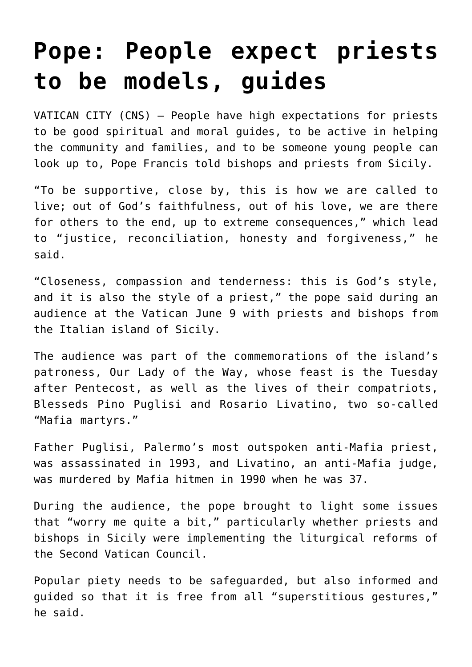## **[Pope: People expect priests](https://www.osvnews.com/2022/06/09/pope-people-expect-priests-to-be-models-guides/) [to be models, guides](https://www.osvnews.com/2022/06/09/pope-people-expect-priests-to-be-models-guides/)**

VATICAN CITY (CNS) — People have high expectations for priests to be good spiritual and moral guides, to be active in helping the community and families, and to be someone young people can look up to, Pope Francis told bishops and priests from Sicily.

"To be supportive, close by, this is how we are called to live; out of God's faithfulness, out of his love, we are there for others to the end, up to extreme consequences," which lead to "justice, reconciliation, honesty and forgiveness," he said.

"Closeness, compassion and tenderness: this is God's style, and it is also the style of a priest," the pope said during an audience at the Vatican June 9 with priests and bishops from the Italian island of Sicily.

The audience was part of the commemorations of the island's patroness, Our Lady of the Way, whose feast is the Tuesday after Pentecost, as well as the lives of their compatriots, Blesseds Pino Puglisi and Rosario Livatino, two so-called "Mafia martyrs."

Father Puglisi, Palermo's most outspoken anti-Mafia priest, was assassinated in 1993, and Livatino, an anti-Mafia judge, was murdered by Mafia hitmen in 1990 when he was 37.

During the audience, the pope brought to light some issues that "worry me quite a bit," particularly whether priests and bishops in Sicily were implementing the liturgical reforms of the Second Vatican Council.

Popular piety needs to be safeguarded, but also informed and guided so that it is free from all "superstitious gestures," he said.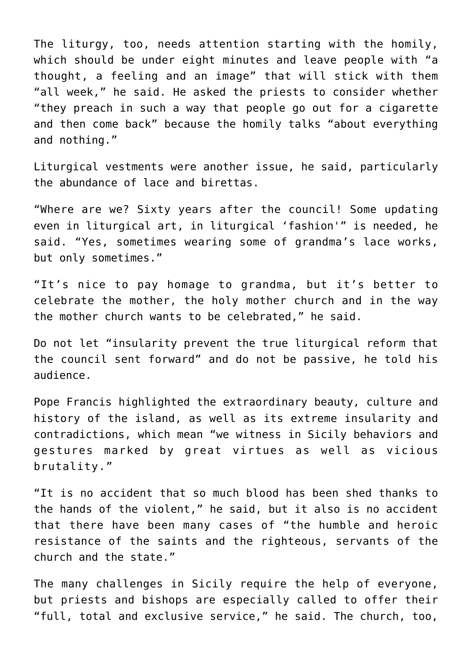The liturgy, too, needs attention starting with the homily, which should be under eight minutes and leave people with "a thought, a feeling and an image" that will stick with them "all week," he said. He asked the priests to consider whether "they preach in such a way that people go out for a cigarette and then come back" because the homily talks "about everything and nothing."

Liturgical vestments were another issue, he said, particularly the abundance of lace and birettas.

"Where are we? Sixty years after the council! Some updating even in liturgical art, in liturgical 'fashion'" is needed, he said. "Yes, sometimes wearing some of grandma's lace works, but only sometimes."

"It's nice to pay homage to grandma, but it's better to celebrate the mother, the holy mother church and in the way the mother church wants to be celebrated," he said.

Do not let "insularity prevent the true liturgical reform that the council sent forward" and do not be passive, he told his audience.

Pope Francis highlighted the extraordinary beauty, culture and history of the island, as well as its extreme insularity and contradictions, which mean "we witness in Sicily behaviors and gestures marked by great virtues as well as vicious brutality."

"It is no accident that so much blood has been shed thanks to the hands of the violent," he said, but it also is no accident that there have been many cases of "the humble and heroic resistance of the saints and the righteous, servants of the church and the state."

The many challenges in Sicily require the help of everyone, but priests and bishops are especially called to offer their "full, total and exclusive service," he said. The church, too,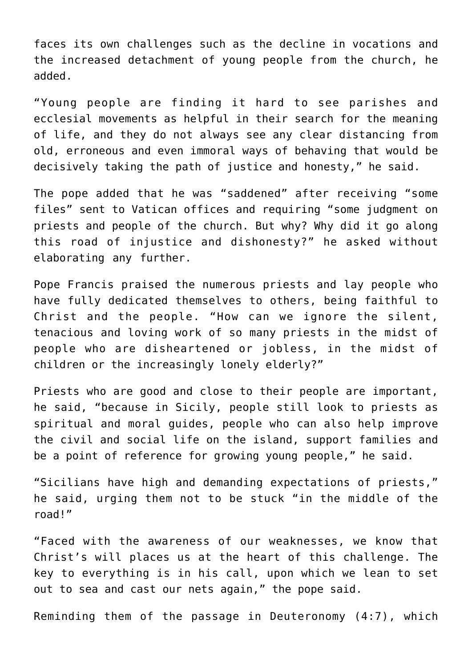faces its own challenges such as the decline in vocations and the increased detachment of young people from the church, he added.

"Young people are finding it hard to see parishes and ecclesial movements as helpful in their search for the meaning of life, and they do not always see any clear distancing from old, erroneous and even immoral ways of behaving that would be decisively taking the path of justice and honesty," he said.

The pope added that he was "saddened" after receiving "some files" sent to Vatican offices and requiring "some judgment on priests and people of the church. But why? Why did it go along this road of injustice and dishonesty?" he asked without elaborating any further.

Pope Francis praised the numerous priests and lay people who have fully dedicated themselves to others, being faithful to Christ and the people. "How can we ignore the silent, tenacious and loving work of so many priests in the midst of people who are disheartened or jobless, in the midst of children or the increasingly lonely elderly?"

Priests who are good and close to their people are important, he said, "because in Sicily, people still look to priests as spiritual and moral guides, people who can also help improve the civil and social life on the island, support families and be a point of reference for growing young people," he said.

"Sicilians have high and demanding expectations of priests," he said, urging them not to be stuck "in the middle of the road!"

"Faced with the awareness of our weaknesses, we know that Christ's will places us at the heart of this challenge. The key to everything is in his call, upon which we lean to set out to sea and cast our nets again," the pope said.

Reminding them of the passage in Deuteronomy (4:7), which